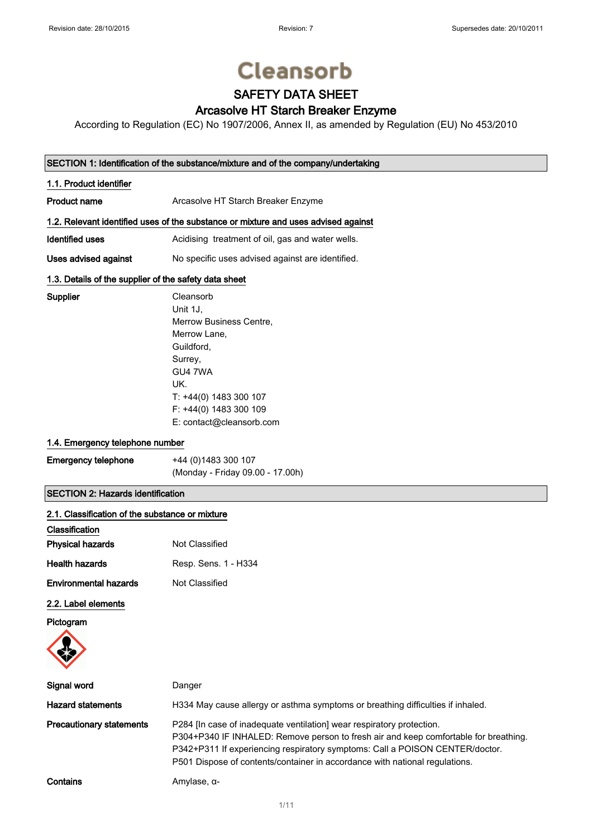Supplier

# **Cleansorb**

# SAFETY DATA SHEET

### Arcasolve HT Starch Breaker Enzyme

According to Regulation (EC) No 1907/2006, Annex II, as amended by Regulation (EU) No 453/2010

#### SECTION 1: Identification of the substance/mixture and of the company/undertaking

| 1.1. Product identifier                                                            |                                                  |  |
|------------------------------------------------------------------------------------|--------------------------------------------------|--|
| <b>Product name</b>                                                                | Arcasolve HT Starch Breaker Enzyme               |  |
| 1.2. Relevant identified uses of the substance or mixture and uses advised against |                                                  |  |
| Identified uses                                                                    | Acidising treatment of oil, gas and water wells. |  |
| Uses advised against                                                               | No specific uses advised against are identified. |  |

#### 1.3. Details of the supplier of the safety data sheet

| Cleansorb                |
|--------------------------|
| Unit 1J.                 |
| Merrow Business Centre,  |
| Merrow Lane,             |
| Guildford.               |
| Surrey,                  |
| GU4 7WA                  |
| UK.                      |
| T: +44(0) 1483 300 107   |
| F: +44(0) 1483 300 109   |
| E: contact@cleansorb.com |
|                          |

#### 1.4. Emergency telephone number

| <b>Emergency telephone</b> | +44 (0) 1483 300 107             |
|----------------------------|----------------------------------|
|                            | (Monday - Friday 09.00 - 17.00h) |

#### SECTION 2: Hazards identification

| 2.1. Classification of the substance or mixture |                                                                                                                                                                                                                                                                                                                              |
|-------------------------------------------------|------------------------------------------------------------------------------------------------------------------------------------------------------------------------------------------------------------------------------------------------------------------------------------------------------------------------------|
| Classification                                  |                                                                                                                                                                                                                                                                                                                              |
| <b>Physical hazards</b>                         | Not Classified                                                                                                                                                                                                                                                                                                               |
| <b>Health hazards</b>                           | Resp. Sens. 1 - H334                                                                                                                                                                                                                                                                                                         |
| <b>Environmental hazards</b>                    | Not Classified                                                                                                                                                                                                                                                                                                               |
| 2.2. Label elements                             |                                                                                                                                                                                                                                                                                                                              |
| Pictogram                                       |                                                                                                                                                                                                                                                                                                                              |
| Signal word                                     | Danger                                                                                                                                                                                                                                                                                                                       |
| <b>Hazard statements</b>                        | H334 May cause allergy or asthma symptoms or breathing difficulties if inhaled.                                                                                                                                                                                                                                              |
| <b>Precautionary statements</b>                 | P284 [In case of inadequate ventilation] wear respiratory protection.<br>P304+P340 IF INHALED: Remove person to fresh air and keep comfortable for breathing.<br>P342+P311 If experiencing respiratory symptoms: Call a POISON CENTER/doctor.<br>P501 Dispose of contents/container in accordance with national regulations. |
| Contains                                        | Amylase, $\alpha$ -                                                                                                                                                                                                                                                                                                          |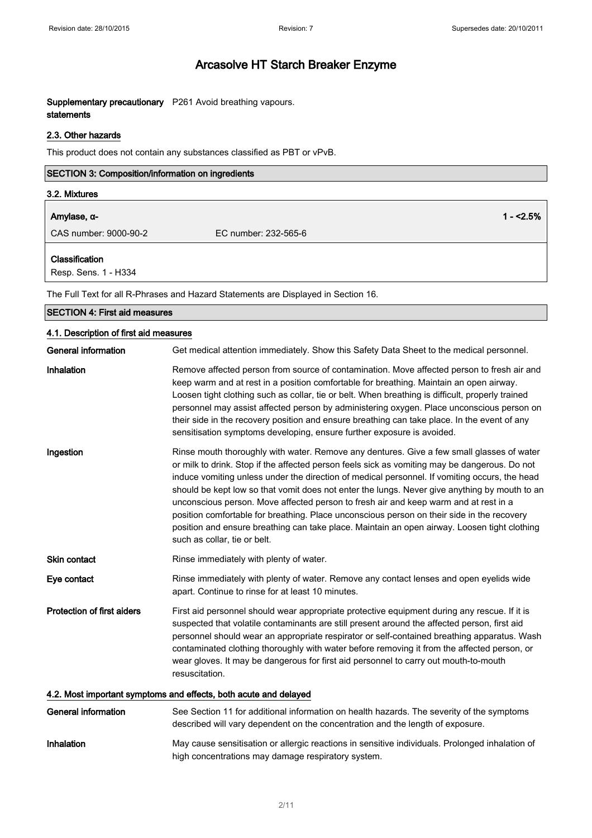#### Supplementary precautionary P261 Avoid breathing vapours. statements

#### 2.3. Other hazards

This product does not contain any substances classified as PBT or vPvB.

| SECTION 3: Composition/information on ingredients |                      |            |
|---------------------------------------------------|----------------------|------------|
| 3.2. Mixtures                                     |                      |            |
| Amylase, α-                                       |                      | $1 - 2.5%$ |
| CAS number: 9000-90-2                             | EC number: 232-565-6 |            |
| Classification<br>Resp. Sens. 1 - H334            |                      |            |

The Full Text for all R-Phrases and Hazard Statements are Displayed in Section 16.

| THE F OIL LEAT TOL AILING THIRSES AND FIRZARD STATISHISTICS ALE DISPIRYED IN SECTION FIG. |                                                                                                                                                                                                                                                                                                                                                                                                                                                                                                                                                                                                                                                                                                                    |  |
|-------------------------------------------------------------------------------------------|--------------------------------------------------------------------------------------------------------------------------------------------------------------------------------------------------------------------------------------------------------------------------------------------------------------------------------------------------------------------------------------------------------------------------------------------------------------------------------------------------------------------------------------------------------------------------------------------------------------------------------------------------------------------------------------------------------------------|--|
| <b>SECTION 4: First aid measures</b>                                                      |                                                                                                                                                                                                                                                                                                                                                                                                                                                                                                                                                                                                                                                                                                                    |  |
| 4.1. Description of first aid measures                                                    |                                                                                                                                                                                                                                                                                                                                                                                                                                                                                                                                                                                                                                                                                                                    |  |
| <b>General information</b>                                                                | Get medical attention immediately. Show this Safety Data Sheet to the medical personnel.                                                                                                                                                                                                                                                                                                                                                                                                                                                                                                                                                                                                                           |  |
| Inhalation                                                                                | Remove affected person from source of contamination. Move affected person to fresh air and<br>keep warm and at rest in a position comfortable for breathing. Maintain an open airway.<br>Loosen tight clothing such as collar, tie or belt. When breathing is difficult, properly trained<br>personnel may assist affected person by administering oxygen. Place unconscious person on<br>their side in the recovery position and ensure breathing can take place. In the event of any<br>sensitisation symptoms developing, ensure further exposure is avoided.                                                                                                                                                   |  |
| Ingestion                                                                                 | Rinse mouth thoroughly with water. Remove any dentures. Give a few small glasses of water<br>or milk to drink. Stop if the affected person feels sick as vomiting may be dangerous. Do not<br>induce vomiting unless under the direction of medical personnel. If vomiting occurs, the head<br>should be kept low so that vomit does not enter the lungs. Never give anything by mouth to an<br>unconscious person. Move affected person to fresh air and keep warm and at rest in a<br>position comfortable for breathing. Place unconscious person on their side in the recovery<br>position and ensure breathing can take place. Maintain an open airway. Loosen tight clothing<br>such as collar, tie or belt. |  |
| Skin contact                                                                              | Rinse immediately with plenty of water.                                                                                                                                                                                                                                                                                                                                                                                                                                                                                                                                                                                                                                                                            |  |
| Eye contact                                                                               | Rinse immediately with plenty of water. Remove any contact lenses and open eyelids wide<br>apart. Continue to rinse for at least 10 minutes.                                                                                                                                                                                                                                                                                                                                                                                                                                                                                                                                                                       |  |
| <b>Protection of first aiders</b>                                                         | First aid personnel should wear appropriate protective equipment during any rescue. If it is<br>suspected that volatile contaminants are still present around the affected person, first aid<br>personnel should wear an appropriate respirator or self-contained breathing apparatus. Wash<br>contaminated clothing thoroughly with water before removing it from the affected person, or<br>wear gloves. It may be dangerous for first aid personnel to carry out mouth-to-mouth<br>resuscitation.                                                                                                                                                                                                               |  |
| 4.2. Most important symptoms and effects, both acute and delayed                          |                                                                                                                                                                                                                                                                                                                                                                                                                                                                                                                                                                                                                                                                                                                    |  |
| <b>General information</b>                                                                | See Section 11 for additional information on health hazards. The severity of the symptoms<br>described will vary dependent on the concentration and the length of exposure.                                                                                                                                                                                                                                                                                                                                                                                                                                                                                                                                        |  |

#### Inhalation May cause sensitisation or allergic reactions in sensitive individuals. Prolonged inhalation of high concentrations may damage respiratory system.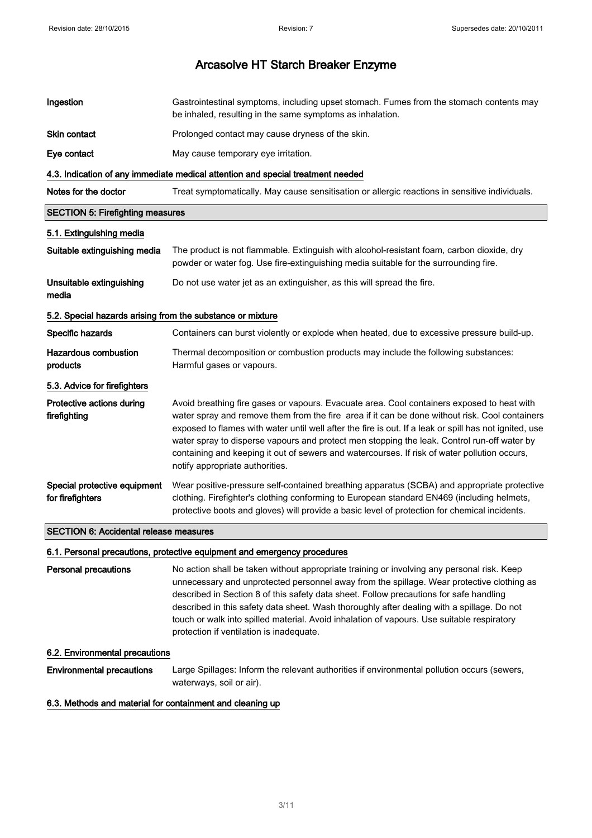| Ingestion                                                  | Gastrointestinal symptoms, including upset stomach. Fumes from the stomach contents may<br>be inhaled, resulting in the same symptoms as inhalation.                                                                                                                                                                                                                                                                                                                                                                                     |
|------------------------------------------------------------|------------------------------------------------------------------------------------------------------------------------------------------------------------------------------------------------------------------------------------------------------------------------------------------------------------------------------------------------------------------------------------------------------------------------------------------------------------------------------------------------------------------------------------------|
| Skin contact                                               | Prolonged contact may cause dryness of the skin.                                                                                                                                                                                                                                                                                                                                                                                                                                                                                         |
| Eye contact                                                | May cause temporary eye irritation.                                                                                                                                                                                                                                                                                                                                                                                                                                                                                                      |
|                                                            | 4.3. Indication of any immediate medical attention and special treatment needed                                                                                                                                                                                                                                                                                                                                                                                                                                                          |
| Notes for the doctor                                       | Treat symptomatically. May cause sensitisation or allergic reactions in sensitive individuals.                                                                                                                                                                                                                                                                                                                                                                                                                                           |
| <b>SECTION 5: Firefighting measures</b>                    |                                                                                                                                                                                                                                                                                                                                                                                                                                                                                                                                          |
| 5.1. Extinguishing media                                   |                                                                                                                                                                                                                                                                                                                                                                                                                                                                                                                                          |
| Suitable extinguishing media                               | The product is not flammable. Extinguish with alcohol-resistant foam, carbon dioxide, dry<br>powder or water fog. Use fire-extinguishing media suitable for the surrounding fire.                                                                                                                                                                                                                                                                                                                                                        |
| Unsuitable extinguishing<br>media                          | Do not use water jet as an extinguisher, as this will spread the fire.                                                                                                                                                                                                                                                                                                                                                                                                                                                                   |
| 5.2. Special hazards arising from the substance or mixture |                                                                                                                                                                                                                                                                                                                                                                                                                                                                                                                                          |
| Specific hazards                                           | Containers can burst violently or explode when heated, due to excessive pressure build-up.                                                                                                                                                                                                                                                                                                                                                                                                                                               |
| <b>Hazardous combustion</b><br>products                    | Thermal decomposition or combustion products may include the following substances:<br>Harmful gases or vapours.                                                                                                                                                                                                                                                                                                                                                                                                                          |
| 5.3. Advice for firefighters                               |                                                                                                                                                                                                                                                                                                                                                                                                                                                                                                                                          |
| Protective actions during<br>firefighting                  | Avoid breathing fire gases or vapours. Evacuate area. Cool containers exposed to heat with<br>water spray and remove them from the fire area if it can be done without risk. Cool containers<br>exposed to flames with water until well after the fire is out. If a leak or spill has not ignited, use<br>water spray to disperse vapours and protect men stopping the leak. Control run-off water by<br>containing and keeping it out of sewers and watercourses. If risk of water pollution occurs,<br>notify appropriate authorities. |
| Special protective equipment<br>for firefighters           | Wear positive-pressure self-contained breathing apparatus (SCBA) and appropriate protective<br>clothing. Firefighter's clothing conforming to European standard EN469 (including helmets,<br>protective boots and gloves) will provide a basic level of protection for chemical incidents.                                                                                                                                                                                                                                               |
| <b>SECTION 6: Accidental release measures</b>              |                                                                                                                                                                                                                                                                                                                                                                                                                                                                                                                                          |

#### 6.1. Personal precautions, protective equipment and emergency procedures

Personal precautions No action shall be taken without appropriate training or involving any personal risk. Keep unnecessary and unprotected personnel away from the spillage. Wear protective clothing as described in Section 8 of this safety data sheet. Follow precautions for safe handling described in this safety data sheet. Wash thoroughly after dealing with a spillage. Do not touch or walk into spilled material. Avoid inhalation of vapours. Use suitable respiratory protection if ventilation is inadequate.

#### 6.2. Environmental precautions

Environmental precautions Large Spillages: Inform the relevant authorities if environmental pollution occurs (sewers, waterways, soil or air).

#### 6.3. Methods and material for containment and cleaning up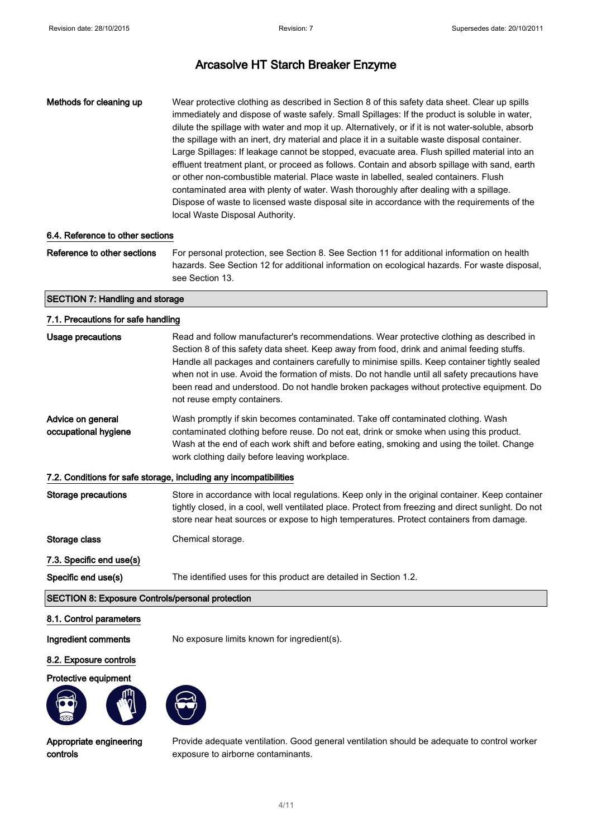Methods for cleaning up Wear protective clothing as described in Section 8 of this safety data sheet. Clear up spills immediately and dispose of waste safely. Small Spillages: If the product is soluble in water, dilute the spillage with water and mop it up. Alternatively, or if it is not water-soluble, absorb the spillage with an inert, dry material and place it in a suitable waste disposal container. Large Spillages: If leakage cannot be stopped, evacuate area. Flush spilled material into an effluent treatment plant, or proceed as follows. Contain and absorb spillage with sand, earth or other non-combustible material. Place waste in labelled, sealed containers. Flush contaminated area with plenty of water. Wash thoroughly after dealing with a spillage. Dispose of waste to licensed waste disposal site in accordance with the requirements of the local Waste Disposal Authority.

#### 6.4. Reference to other sections

Reference to other sections For personal protection, see Section 8. See Section 11 for additional information on health hazards. See Section 12 for additional information on ecological hazards. For waste disposal, see Section 13.

#### SECTION 7: Handling and storage

#### 7.1. Precautions for safe handling

| Usage precautions                                                 | Read and follow manufacturer's recommendations. Wear protective clothing as described in                                                                                                                                                                                                                                   |  |
|-------------------------------------------------------------------|----------------------------------------------------------------------------------------------------------------------------------------------------------------------------------------------------------------------------------------------------------------------------------------------------------------------------|--|
|                                                                   | Section 8 of this safety data sheet. Keep away from food, drink and animal feeding stuffs.<br>Handle all packages and containers carefully to minimise spills. Keep container tightly sealed<br>when not in use. Avoid the formation of mists. Do not handle until all safety precautions have                             |  |
|                                                                   | been read and understood. Do not handle broken packages without protective equipment. Do<br>not reuse empty containers.                                                                                                                                                                                                    |  |
| Advice on general<br>occupational hygiene                         | Wash promptly if skin becomes contaminated. Take off contaminated clothing. Wash<br>contaminated clothing before reuse. Do not eat, drink or smoke when using this product.<br>Wash at the end of each work shift and before eating, smoking and using the toilet. Change<br>work clothing daily before leaving workplace. |  |
| 7.2. Conditions for safe storage, including any incompatibilities |                                                                                                                                                                                                                                                                                                                            |  |
| Storage precautions                                               | Store in accordance with local regulations. Keep only in the original container. Keep container<br>tightly closed, in a cool, well ventilated place. Protect from freezing and direct sunlight. Do not<br>store near heat sources or expose to high temperatures. Protect containers from damage.                          |  |
| Storage class                                                     | Chemical storage.                                                                                                                                                                                                                                                                                                          |  |
| 7.3. Specific end use(s)                                          |                                                                                                                                                                                                                                                                                                                            |  |
| Specific end use(s)                                               | The identified uses for this product are detailed in Section 1.2.                                                                                                                                                                                                                                                          |  |
| <b>SECTION 8: Exposure Controls/personal protection</b>           |                                                                                                                                                                                                                                                                                                                            |  |

#### 8.1. Control parameters

Ingredient comments No exposure limits known for ingredient(s).

#### 8.2. Exposure controls

#### Protective equipment





Appropriate engineering controls

Provide adequate ventilation. Good general ventilation should be adequate to control worker exposure to airborne contaminants.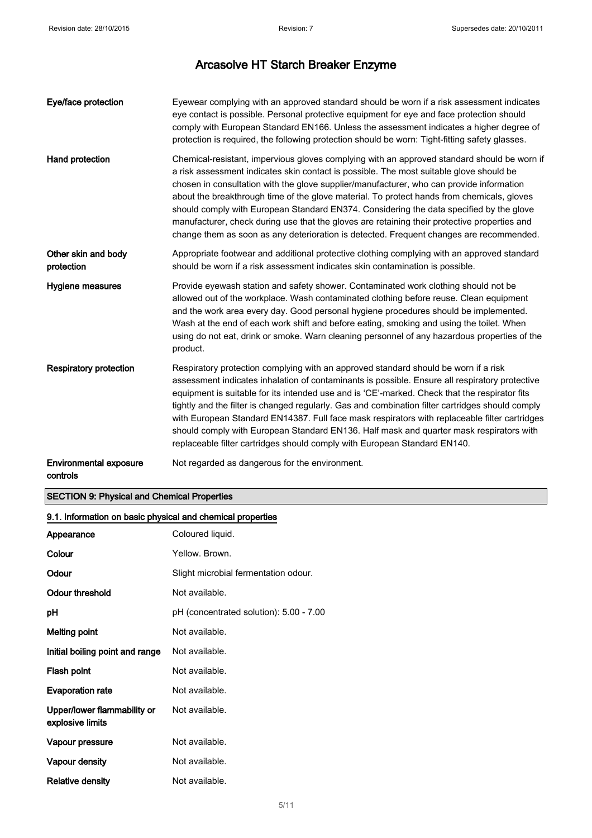| Eye/face protection                       | Eyewear complying with an approved standard should be worn if a risk assessment indicates<br>eye contact is possible. Personal protective equipment for eye and face protection should<br>comply with European Standard EN166. Unless the assessment indicates a higher degree of<br>protection is required, the following protection should be worn: Tight-fitting safety glasses.                                                                                                                                                                                                                                                                                    |
|-------------------------------------------|------------------------------------------------------------------------------------------------------------------------------------------------------------------------------------------------------------------------------------------------------------------------------------------------------------------------------------------------------------------------------------------------------------------------------------------------------------------------------------------------------------------------------------------------------------------------------------------------------------------------------------------------------------------------|
| Hand protection                           | Chemical-resistant, impervious gloves complying with an approved standard should be worn if<br>a risk assessment indicates skin contact is possible. The most suitable glove should be<br>chosen in consultation with the glove supplier/manufacturer, who can provide information<br>about the breakthrough time of the glove material. To protect hands from chemicals, gloves<br>should comply with European Standard EN374. Considering the data specified by the glove<br>manufacturer, check during use that the gloves are retaining their protective properties and<br>change them as soon as any deterioration is detected. Frequent changes are recommended. |
| Other skin and body<br>protection         | Appropriate footwear and additional protective clothing complying with an approved standard<br>should be worn if a risk assessment indicates skin contamination is possible.                                                                                                                                                                                                                                                                                                                                                                                                                                                                                           |
| <b>Hygiene measures</b>                   | Provide eyewash station and safety shower. Contaminated work clothing should not be<br>allowed out of the workplace. Wash contaminated clothing before reuse. Clean equipment<br>and the work area every day. Good personal hygiene procedures should be implemented.<br>Wash at the end of each work shift and before eating, smoking and using the toilet. When<br>using do not eat, drink or smoke. Warn cleaning personnel of any hazardous properties of the<br>product.                                                                                                                                                                                          |
| <b>Respiratory protection</b>             | Respiratory protection complying with an approved standard should be worn if a risk<br>assessment indicates inhalation of contaminants is possible. Ensure all respiratory protective<br>equipment is suitable for its intended use and is 'CE'-marked. Check that the respirator fits<br>tightly and the filter is changed regularly. Gas and combination filter cartridges should comply<br>with European Standard EN14387. Full face mask respirators with replaceable filter cartridges<br>should comply with European Standard EN136. Half mask and quarter mask respirators with<br>replaceable filter cartridges should comply with European Standard EN140.    |
| <b>Environmental exposure</b><br>controls | Not regarded as dangerous for the environment.                                                                                                                                                                                                                                                                                                                                                                                                                                                                                                                                                                                                                         |

#### SECTION 9: Physical and Chemical Properties

# 9.1. Information on basic physical and chemical properties

| Appearance                                      | Coloured liquid.                        |
|-------------------------------------------------|-----------------------------------------|
| Colour                                          | Yellow. Brown.                          |
| Odour                                           | Slight microbial fermentation odour.    |
| <b>Odour threshold</b>                          | Not available.                          |
| рH                                              | pH (concentrated solution): 5.00 - 7.00 |
| Melting point                                   | Not available.                          |
| Initial boiling point and range                 | Not available.                          |
| Flash point                                     | Not available.                          |
| <b>Evaporation rate</b>                         | Not available.                          |
| Upper/lower flammability or<br>explosive limits | Not available.                          |
| Vapour pressure                                 | Not available.                          |
| Vapour density                                  | Not available.                          |
| <b>Relative density</b>                         | Not available.                          |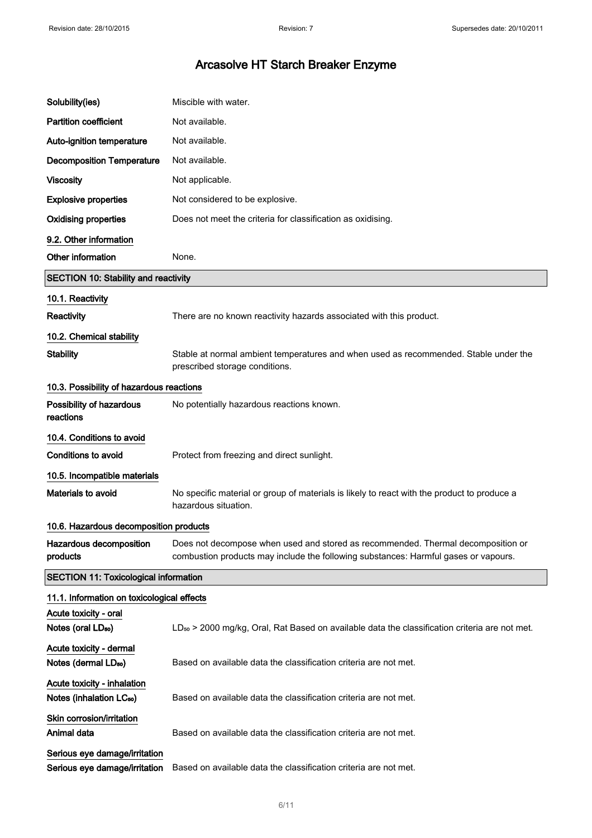| Solubility(ies)                                                     | Miscible with water.                                                                                                                                                    |
|---------------------------------------------------------------------|-------------------------------------------------------------------------------------------------------------------------------------------------------------------------|
| <b>Partition coefficient</b>                                        | Not available.                                                                                                                                                          |
| Auto-ignition temperature                                           | Not available.                                                                                                                                                          |
| <b>Decomposition Temperature</b>                                    | Not available.                                                                                                                                                          |
| <b>Viscosity</b>                                                    | Not applicable.                                                                                                                                                         |
| <b>Explosive properties</b>                                         | Not considered to be explosive.                                                                                                                                         |
| <b>Oxidising properties</b>                                         | Does not meet the criteria for classification as oxidising.                                                                                                             |
| 9.2. Other information                                              |                                                                                                                                                                         |
| Other information                                                   | None.                                                                                                                                                                   |
| <b>SECTION 10: Stability and reactivity</b>                         |                                                                                                                                                                         |
| 10.1. Reactivity                                                    |                                                                                                                                                                         |
| Reactivity                                                          | There are no known reactivity hazards associated with this product.                                                                                                     |
| 10.2. Chemical stability                                            |                                                                                                                                                                         |
| <b>Stability</b>                                                    | Stable at normal ambient temperatures and when used as recommended. Stable under the<br>prescribed storage conditions.                                                  |
| 10.3. Possibility of hazardous reactions                            |                                                                                                                                                                         |
| Possibility of hazardous<br>reactions                               | No potentially hazardous reactions known.                                                                                                                               |
| 10.4. Conditions to avoid                                           |                                                                                                                                                                         |
| <b>Conditions to avoid</b>                                          | Protect from freezing and direct sunlight.                                                                                                                              |
| 10.5. Incompatible materials                                        |                                                                                                                                                                         |
| Materials to avoid                                                  | No specific material or group of materials is likely to react with the product to produce a<br>hazardous situation.                                                     |
| 10.6. Hazardous decomposition products                              |                                                                                                                                                                         |
| Hazardous decomposition<br>products                                 | Does not decompose when used and stored as recommended. Thermal decomposition or<br>combustion products may include the following substances: Harmful gases or vapours. |
| <b>SECTION 11: Toxicological information</b>                        |                                                                                                                                                                         |
| 11.1. Information on toxicological effects                          |                                                                                                                                                                         |
| Acute toxicity - oral<br>Notes (oral LD <sub>50</sub> )             | LD <sub>50</sub> > 2000 mg/kg, Oral, Rat Based on available data the classification criteria are not met.                                                               |
| Acute toxicity - dermal<br>Notes (dermal LD <sub>50</sub> )         | Based on available data the classification criteria are not met.                                                                                                        |
| Acute toxicity - inhalation<br>Notes (inhalation LC <sub>50</sub> ) | Based on available data the classification criteria are not met.                                                                                                        |
| Skin corrosion/irritation<br>Animal data                            | Based on available data the classification criteria are not met.                                                                                                        |
| Serious eye damage/irritation<br>Serious eye damage/irritation      | Based on available data the classification criteria are not met.                                                                                                        |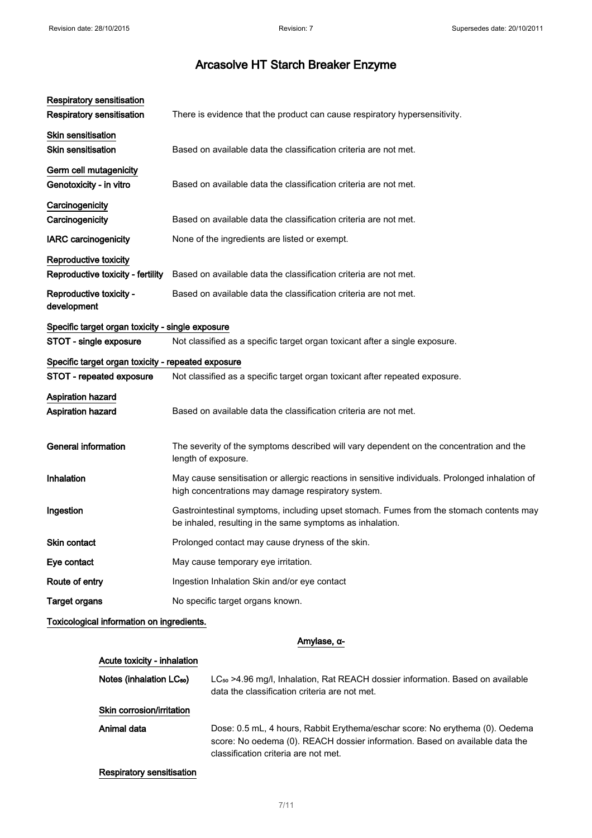| Respiratory sensitisation                          |                                                                                                                                                       |
|----------------------------------------------------|-------------------------------------------------------------------------------------------------------------------------------------------------------|
| <b>Respiratory sensitisation</b>                   | There is evidence that the product can cause respiratory hypersensitivity.                                                                            |
| Skin sensitisation                                 |                                                                                                                                                       |
| <b>Skin sensitisation</b>                          | Based on available data the classification criteria are not met.                                                                                      |
| Germ cell mutagenicity                             |                                                                                                                                                       |
| Genotoxicity - in vitro                            | Based on available data the classification criteria are not met.                                                                                      |
| Carcinogenicity                                    |                                                                                                                                                       |
| Carcinogenicity                                    | Based on available data the classification criteria are not met.                                                                                      |
| <b>IARC</b> carcinogenicity                        | None of the ingredients are listed or exempt.                                                                                                         |
| Reproductive toxicity                              |                                                                                                                                                       |
| Reproductive toxicity - fertility                  | Based on available data the classification criteria are not met.                                                                                      |
| Reproductive toxicity -<br>development             | Based on available data the classification criteria are not met.                                                                                      |
| Specific target organ toxicity - single exposure   |                                                                                                                                                       |
| STOT - single exposure                             | Not classified as a specific target organ toxicant after a single exposure.                                                                           |
| Specific target organ toxicity - repeated exposure |                                                                                                                                                       |
| STOT - repeated exposure                           | Not classified as a specific target organ toxicant after repeated exposure.                                                                           |
| <b>Aspiration hazard</b>                           |                                                                                                                                                       |
| <b>Aspiration hazard</b>                           | Based on available data the classification criteria are not met.                                                                                      |
|                                                    |                                                                                                                                                       |
| <b>General information</b>                         | The severity of the symptoms described will vary dependent on the concentration and the<br>length of exposure.                                        |
| Inhalation                                         | May cause sensitisation or allergic reactions in sensitive individuals. Prolonged inhalation of<br>high concentrations may damage respiratory system. |
| Ingestion                                          | Gastrointestinal symptoms, including upset stomach. Fumes from the stomach contents may<br>be inhaled, resulting in the same symptoms as inhalation.  |
| Skin contact                                       | Prolonged contact may cause dryness of the skin.                                                                                                      |
| Eye contact                                        | May cause temporary eye irritation.                                                                                                                   |
| Route of entry                                     | Ingestion Inhalation Skin and/or eye contact                                                                                                          |
| <b>Target organs</b>                               | No specific target organs known.                                                                                                                      |
| Toxicological information on ingredients.          |                                                                                                                                                       |

#### Amylase, α-

#### Acute toxicity - inhalation

Notes (inhalation LC<sub>50</sub>) LC<sub>50</sub> >4.96 mg/l, Inhalation, Rat REACH dossier information. Based on available data the classification criteria are not met.

#### Skin corrosion/irritation

Animal data **Dose: 0.5 mL, 4 hours, Rabbit Erythema/eschar score: No erythema (0). Oedema** score: No oedema (0). REACH dossier information. Based on available data the classification criteria are not met.

#### Respiratory sensitisation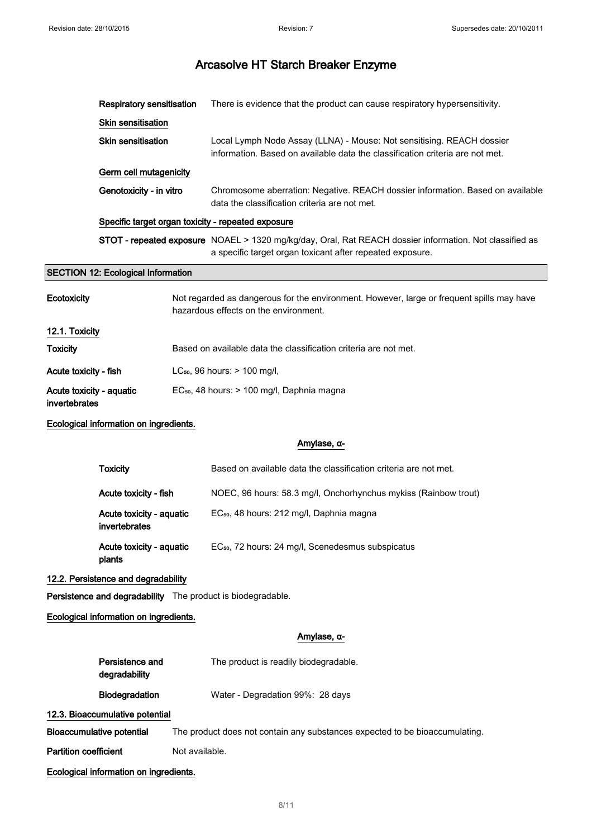|                                 | <b>Respiratory sensitisation</b>          |                | There is evidence that the product can cause respiratory hypersensitivity.                                                                                           |  |
|---------------------------------|-------------------------------------------|----------------|----------------------------------------------------------------------------------------------------------------------------------------------------------------------|--|
|                                 | Skin sensitisation                        |                |                                                                                                                                                                      |  |
|                                 | <b>Skin sensitisation</b>                 |                | Local Lymph Node Assay (LLNA) - Mouse: Not sensitising. REACH dossier<br>information. Based on available data the classification criteria are not met.               |  |
|                                 | Germ cell mutagenicity                    |                |                                                                                                                                                                      |  |
|                                 | Genotoxicity - in vitro                   |                | Chromosome aberration: Negative. REACH dossier information. Based on available<br>data the classification criteria are not met.                                      |  |
|                                 |                                           |                | Specific target organ toxicity - repeated exposure                                                                                                                   |  |
|                                 |                                           |                | STOT - repeated exposure NOAEL > 1320 mg/kg/day, Oral, Rat REACH dossier information. Not classified as<br>a specific target organ toxicant after repeated exposure. |  |
|                                 | <b>SECTION 12: Ecological Information</b> |                |                                                                                                                                                                      |  |
| Ecotoxicity                     |                                           |                | Not regarded as dangerous for the environment. However, large or frequent spills may have<br>hazardous effects on the environment.                                   |  |
| 12.1. Toxicity                  |                                           |                |                                                                                                                                                                      |  |
| <b>Toxicity</b>                 |                                           |                | Based on available data the classification criteria are not met.                                                                                                     |  |
| Acute toxicity - fish           |                                           |                | LC <sub>50</sub> , 96 hours: > 100 mg/l,                                                                                                                             |  |
|                                 | Acute toxicity - aquatic<br>invertebrates |                | EC <sub>50</sub> , 48 hours: > 100 mg/l, Daphnia magna                                                                                                               |  |
|                                 | Ecological information on ingredients.    |                |                                                                                                                                                                      |  |
|                                 |                                           |                | Amylase, α-                                                                                                                                                          |  |
|                                 | <b>Toxicity</b>                           |                | Based on available data the classification criteria are not met.                                                                                                     |  |
|                                 | Acute toxicity - fish                     |                | NOEC, 96 hours: 58.3 mg/l, Onchorhynchus mykiss (Rainbow trout)                                                                                                      |  |
|                                 | Acute toxicity - aquatic<br>invertebrates |                | EC <sub>50</sub> , 48 hours: 212 mg/l, Daphnia magna                                                                                                                 |  |
|                                 | Acute toxicity - aquatic<br>plants        |                | EC <sub>50</sub> , 72 hours: 24 mg/l, Scenedesmus subspicatus                                                                                                        |  |
|                                 | 12.2. Persistence and degradability       |                |                                                                                                                                                                      |  |
|                                 |                                           |                | Persistence and degradability The product is biodegradable.                                                                                                          |  |
|                                 | Ecological information on ingredients.    |                |                                                                                                                                                                      |  |
|                                 |                                           |                | Amylase, α-                                                                                                                                                          |  |
|                                 | Persistence and<br>degradability          |                | The product is readily biodegradable.                                                                                                                                |  |
|                                 | Biodegradation                            |                | Water - Degradation 99%: 28 days                                                                                                                                     |  |
| 12.3. Bioaccumulative potential |                                           |                |                                                                                                                                                                      |  |
| Bioaccumulative potential       |                                           |                | The product does not contain any substances expected to be bioaccumulating.                                                                                          |  |
| <b>Partition coefficient</b>    |                                           | Not available. |                                                                                                                                                                      |  |
|                                 | Ecological information on ingredients.    |                |                                                                                                                                                                      |  |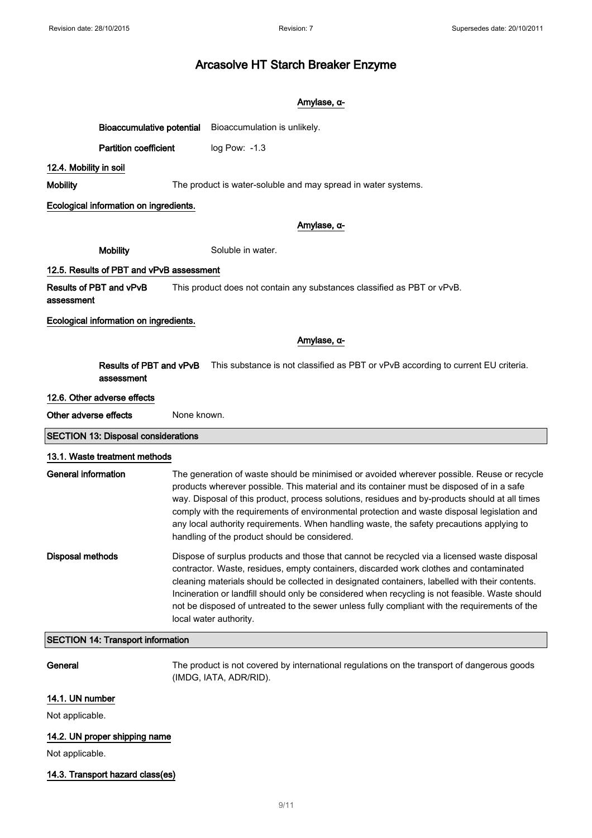#### Amylase, α-

Bioaccumulative potential Bioaccumulation is unlikely.

Partition coefficient log Pow: -1.3

#### 12.4. Mobility in soil

Mobility The product is water-soluble and may spread in water systems.

#### Ecological information on ingredients.

#### Amylase, α-

Mobility Soluble in water.

#### 12.5. Results of PBT and vPvB assessment

Results of PBT and vPvB This product does not contain any substances classified as PBT or vPvB.

assessment

Ecological information on ingredients.

#### Amylase, α-

Results of PBT and vPvB assessment This substance is not classified as PBT or vPvB according to current EU criteria.

#### 12.6. Other adverse effects

Other adverse effects None known.

#### SECTION 13: Disposal considerations

#### 13.1. Waste treatment methods

| General information | The generation of waste should be minimised or avoided wherever possible. Reuse or recycle<br>products wherever possible. This material and its container must be disposed of in a safe<br>way. Disposal of this product, process solutions, residues and by-products should at all times<br>comply with the requirements of environmental protection and waste disposal legislation and<br>any local authority requirements. When handling waste, the safety precautions applying to<br>handling of the product should be considered. |
|---------------------|----------------------------------------------------------------------------------------------------------------------------------------------------------------------------------------------------------------------------------------------------------------------------------------------------------------------------------------------------------------------------------------------------------------------------------------------------------------------------------------------------------------------------------------|
| Disposal methods    | Dispose of surplus products and those that cannot be recycled via a licensed waste disposal<br>contractor. Waste, residues, empty containers, discarded work clothes and contaminated<br>cleaning materials should be collected in designated containers, labelled with their contents.<br>Incineration or landfill should only be considered when recycling is not feasible. Waste should<br>not be disposed of untreated to the sewer unless fully compliant with the requirements of the<br>local water authority.                  |

#### SECTION 14: Transport information

General The product is not covered by international regulations on the transport of dangerous goods (IMDG, IATA, ADR/RID).

#### 14.1. UN number

Not applicable.

#### 14.2. UN proper shipping name

Not applicable.

#### 14.3. Transport hazard class(es)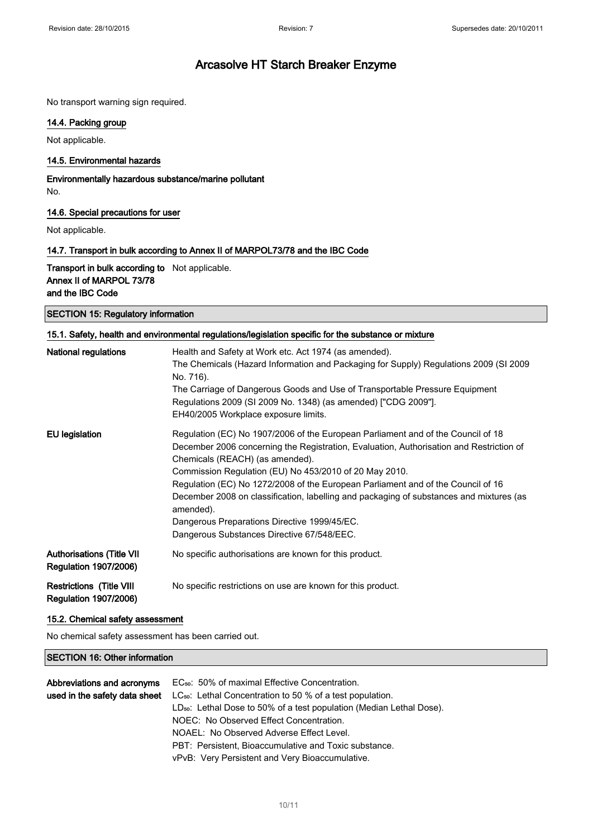No transport warning sign required.

#### 14.4. Packing group

Not applicable.

#### 14.5. Environmental hazards

Environmentally hazardous substance/marine pollutant No.

#### 14.6. Special precautions for user

Not applicable.

#### 14.7. Transport in bulk according to Annex II of MARPOL73/78 and the IBC Code

Transport in bulk according to Not applicable. Annex II of MARPOL 73/78 and the IBC Code

| <b>SECTION 15: Regulatory information</b> |  |
|-------------------------------------------|--|
|-------------------------------------------|--|

| 15.1. Safety, health and environmental regulations/legislation specific for the substance or mixture |                                                                                                                                                                                                                                                                                                                                                                                                                                                                                                                                                                    |  |  |  |
|------------------------------------------------------------------------------------------------------|--------------------------------------------------------------------------------------------------------------------------------------------------------------------------------------------------------------------------------------------------------------------------------------------------------------------------------------------------------------------------------------------------------------------------------------------------------------------------------------------------------------------------------------------------------------------|--|--|--|
| <b>National regulations</b>                                                                          | Health and Safety at Work etc. Act 1974 (as amended).<br>The Chemicals (Hazard Information and Packaging for Supply) Regulations 2009 (SI 2009<br>No. 716).<br>The Carriage of Dangerous Goods and Use of Transportable Pressure Equipment<br>Regulations 2009 (SI 2009 No. 1348) (as amended) ["CDG 2009"].<br>EH40/2005 Workplace exposure limits.                                                                                                                                                                                                               |  |  |  |
| <b>EU</b> legislation                                                                                | Regulation (EC) No 1907/2006 of the European Parliament and of the Council of 18<br>December 2006 concerning the Registration, Evaluation, Authorisation and Restriction of<br>Chemicals (REACH) (as amended).<br>Commission Regulation (EU) No 453/2010 of 20 May 2010.<br>Regulation (EC) No 1272/2008 of the European Parliament and of the Council of 16<br>December 2008 on classification, labelling and packaging of substances and mixtures (as<br>amended).<br>Dangerous Preparations Directive 1999/45/EC.<br>Dangerous Substances Directive 67/548/EEC. |  |  |  |
| <b>Authorisations (Title VII</b><br><b>Regulation 1907/2006)</b>                                     | No specific authorisations are known for this product.                                                                                                                                                                                                                                                                                                                                                                                                                                                                                                             |  |  |  |
| <b>Restrictions (Title VIII</b><br><b>Regulation 1907/2006)</b>                                      | No specific restrictions on use are known for this product.                                                                                                                                                                                                                                                                                                                                                                                                                                                                                                        |  |  |  |

#### 15.2. Chemical safety assessment

No chemical safety assessment has been carried out.

#### SECTION 16: Other information

| Abbreviations and acronyms    | EC <sub>50</sub> : 50% of maximal Effective Concentration.                       |
|-------------------------------|----------------------------------------------------------------------------------|
| used in the safety data sheet | $LC_{50}$ : Lethal Concentration to 50 % of a test population.                   |
|                               | LD <sub>50</sub> : Lethal Dose to 50% of a test population (Median Lethal Dose). |
|                               | NOEC: No Observed Effect Concentration.                                          |
|                               | NOAEL: No Observed Adverse Effect Level.                                         |
|                               | PBT: Persistent, Bioaccumulative and Toxic substance.                            |
|                               | vPvB: Very Persistent and Very Bioaccumulative.                                  |